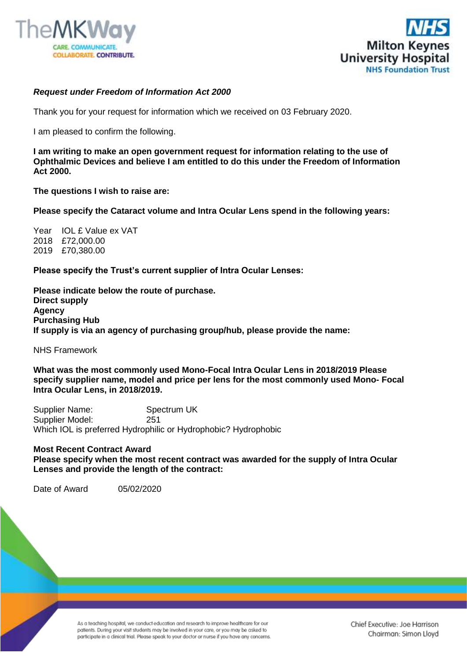



## *Request under Freedom of Information Act 2000*

Thank you for your request for information which we received on 03 February 2020.

I am pleased to confirm the following.

**I am writing to make an open government request for information relating to the use of Ophthalmic Devices and believe I am entitled to do this under the Freedom of Information Act 2000.** 

**The questions I wish to raise are:**

**Please specify the Cataract volume and Intra Ocular Lens spend in the following years:**

Year **IOL £ Value ex VAT** 2018 £72,000.00 2019 £70,380.00

**Please specify the Trust's current supplier of Intra Ocular Lenses:**

**Please indicate below the route of purchase. Direct supply Agency Purchasing Hub If supply is via an agency of purchasing group/hub, please provide the name:**

NHS Framework

**What was the most commonly used Mono-Focal Intra Ocular Lens in 2018/2019 Please specify supplier name, model and price per lens for the most commonly used Mono- Focal Intra Ocular Lens, in 2018/2019.**

Supplier Name: Spectrum UK Supplier Model: 251 Which IOL is preferred Hydrophilic or Hydrophobic? Hydrophobic

## **Most Recent Contract Award**

**Please specify when the most recent contract was awarded for the supply of Intra Ocular Lenses and provide the length of the contract:**

Date of Award 05/02/2020

As a teaching hospital, we conduct education and research to improve healthcare for our patients. During your visit students may be involved in your care, or you may be asked to participate in a clinical trial. Please speak to your doctor or nurse if you have any concerns.